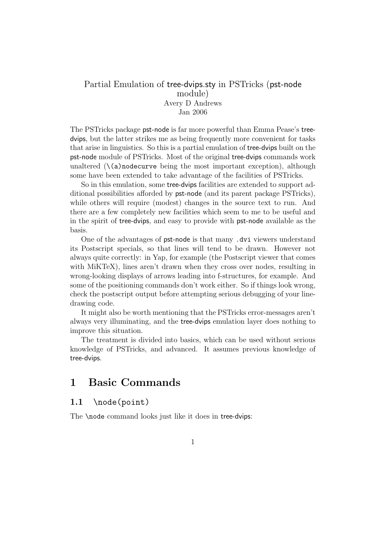## Partial Emulation of tree-dvips.sty in PSTricks (pst-node module) Avery D Andrews Jan 2006

The PSTricks package pst-node is far more powerful than Emma Pease's treedvips, but the latter strikes me as being frequently more convenient for tasks that arise in linguistics. So this is a partial emulation of tree-dvips built on the pst-node module of PSTricks. Most of the original tree-dvips commands work unaltered  $(\{a\})$ nodecurve being the most important exception), although some have been extended to take advantage of the facilities of PSTricks.

So in this emulation, some tree-dvips facilities are extended to support additional possibilities afforded by pst-node (and its parent package PSTricks), while others will require (modest) changes in the source text to run. And there are a few completely new facilities which seem to me to be useful and in the spirit of tree-dvips, and easy to provide with pst-node available as the basis.

One of the advantages of pst-node is that many .dvi viewers understand its Postscript specials, so that lines will tend to be drawn. However not always quite correctly: in Yap, for example (the Postscript viewer that comes with MiKTeX), lines aren't drawn when they cross over nodes, resulting in wrong-looking displays of arrows leading into f-structures, for example. And some of the positioning commands don't work either. So if things look wrong, check the postscript output before attempting serious debugging of your linedrawing code.

It might also be worth mentioning that the PSTricks error-messages aren't always very illuminating, and the tree-dvips emulation layer does nothing to improve this situation.

The treatment is divided into basics, which can be used without serious knowledge of PSTricks, and advanced. It assumes previous knowledge of tree-dvips.

# 1 Basic Commands

## 1.1 \node(point)

The **\node** command looks just like it does in tree-dvips: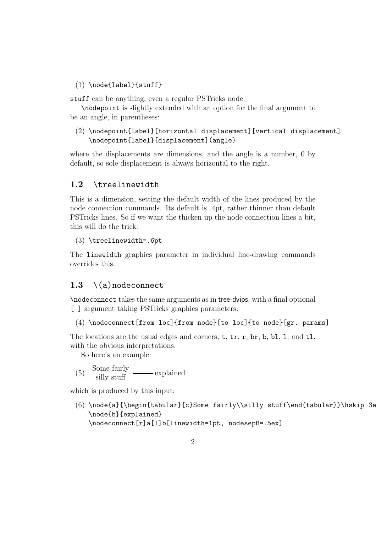#### $(1) \setminus node{label}{stuff}$

stuff can be anything, even a regular PSTricks node.

\nodepoint is slightly extended with an option for the final argument to be an angle, in parentheses:

#### (2) \nodepoint{label}[horizontal displacement][vertical displacement] \nodepoint{label}[displacement](angle}

where the displacements are dimensions, and the angle is a number, 0 by default, so sole displacement is always horizontal to the right.

#### 1.2 \treelinewidth

This is a dimension, setting the default width of the lines produced by the node connection commands. Its default is .4pt, rather thinner than default PSTricks lines. So if we want the thicken up the node connection lines a bit, this will do the trick:

#### (3) \treelinewidth=.6pt

The linewidth graphics parameter in individual line-drawing commands overrides this.

#### 1.3  $\setminus$  (a) nodeconnect

\nodeconnect takes the same arguments as in tree-dvips, with a final optional [ ] argument taking PSTricks graphics parameters:

(4) \nodeconnect[from loc]{from node}[to loc]{to node}[gr. params]

The locations are the usual edges and corners,  $t$ ,  $tr$ ,  $r$ ,  $br$ ,  $b$ ,  $b$ ,  $b$ ,  $1$ , and  $t$ 1, with the obvious interpretations.

So here's an example:

(5) Some fairly  $\frac{\text{Some fairly}}{\text{silly stuff}}$  explained

which is produced by this input:

(6) \node{a}{\begin{tabular}{c}Some fairly\\silly stuff\end{tabular}}\hskip 3e \node{b}{explained} \nodeconnect[r]a[l]b[linewidth=1pt, nodesepB=.5ex]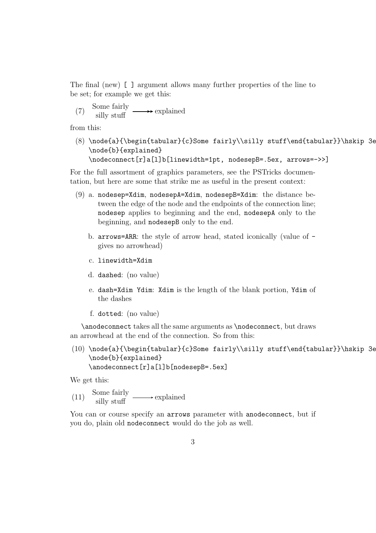The final (new) [ ] argument allows many further properties of the line to be set; for example we get this:

(7) Some fairly  
silly stuff 
$$
\longrightarrow
$$
 explained

from this:

(8) \node{a}{\begin{tabular}{c}Some fairly\\silly stuff\end{tabular}}\hskip 3e \node{b}{explained} \nodeconnect[r]a[l]b[linewidth=1pt, nodesepB=.5ex, arrows=->>]

For the full assortment of graphics parameters, see the PSTricks documentation, but here are some that strike me as useful in the present context:

- (9) a. nodesep=Xdim, nodesepA=Xdim, nodesepB=Xdim: the distance between the edge of the node and the endpoints of the connection line; nodesep applies to beginning and the end, nodesepA only to the beginning, and nodesepB only to the end.
	- b. arrows=ARR: the style of arrow head, stated iconically (value of gives no arrowhead)
	- c. linewidth=Xdim
	- d. dashed: (no value)
	- e. dash=Xdim Ydim: Xdim is the length of the blank portion, Ydim of the dashes
	- f. dotted: (no value)

\anodeconnect takes all the same arguments as \nodeconnect, but draws an arrowhead at the end of the connection. So from this:

(10) \node{a}{\begin{tabular}{c}Some fairly\\silly stuff\end{tabular}}\hskip 3e \node{b}{explained} \anodeconnect[r]a[l]b[nodesepB=.5ex]

We get this:

(11) Some fairly  $\xrightarrow{\text{Some fairly}}$  explained

You can or course specify an arrows parameter with anodeconnect, but if you do, plain old nodeconnect would do the job as well.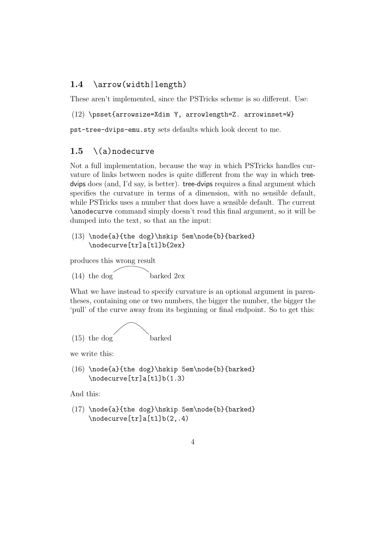## 1.4 \arrow(width|length)

These aren't implemented, since the PSTricks scheme is so different. Use:

(12) \psset{arrowsize=Xdim Y, arrowlength=Z. arrowinset=W}

pst-tree-dvips-emu.sty sets defaults which look decent to me.

### 1.5  $\setminus$  (a) nodecurve

Not a full implementation, because the way in which PSTricks handles curvature of links between nodes is quite different from the way in which treedvips does (and, I'd say, is better). tree-dvips requires a final argument which specifies the curvature in terms of a dimension, with no sensible default, while PSTricks uses a number that does have a sensible default. The current \anodecurve command simply doesn't read this final argument, so it will be dumped into the text, so that an the input:

(13) \node{a}{the dog}\hskip 5em\node{b}{barked} \nodecurve[tr]a[tl]b{2ex}

produces this wrong result

 $(14)$  the dog barked 2ex

What we have instead to specify curvature is an optional argument in parentheses, containing one or two numbers, the bigger the number, the bigger the 'pull' of the curve away from its beginning or final endpoint. So to get this:



we write this:

 $(16) \node{a}{the dog}\hskip-0.1em\mod{b}{barked}$ \nodecurve[tr]a[tl]b(1.3)

And this:

(17) \node{a}{the dog}\hskip 5em\node{b}{barked} \nodecurve[tr]a[tl]b(2,.4)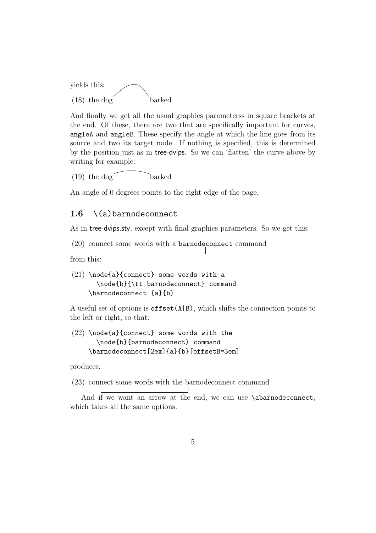

And finally we get all the usual graphics parameterss in square brackets at the end. Of these, there are two that are specifically important for curves, angleA and angleB. These specify the angle at which the line goes from its source and two its target node. If nothing is specified, this is determined by the position just as in tree-dvips. So we can 'flatten' the curve above by writing for example:

 $(19)$  the dog barked

An angle of 0 degrees points to the right edge of the page.

## 1.6  $\setminus$  (a) barnodeconnect

As in tree-dvips.sty, except with final graphics parameters. So we get this:

(20) connect some words with a barnodeconnect command

from this:

(21) \node{a}{connect} some words with a \node{b}{\tt barnodeconnect} command \barnodeconnect {a}{b}

A useful set of options is  $offset(A|B)$ , which shifts the connection points to the left or right, so that:

 $(22)$  \node{a}{connect} some words with the \node{b}{barnodeconnect} command \barnodeconnect[2ex]{a}{b}[offsetB=3em]

produces:

(23) connect some words with the barnodeconnect command

And if we want an arrow at the end, we can use \abarnodeconnect, which takes all the same options.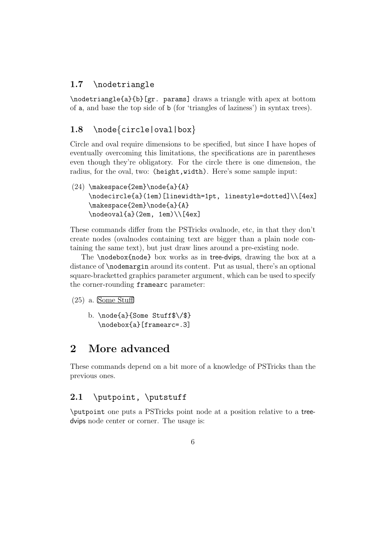# 1.7 \nodetriangle

\nodetriangle{a}{b}[gr. params] draws a triangle with apex at bottom of a, and base the top side of b (for 'triangles of laziness') in syntax trees).

## 1.8 \node{circle|oval|box}

Circle and oval require dimensions to be specified, but since I have hopes of eventually overcoming this limitations, the specifications are in parentheses even though they're obligatory. For the circle there is one dimension, the radius, for the oval, two: (height,width). Here's some sample input:

 $(24)$  \makespace{2em}\node{a}{A} \nodecircle{a}(1em)[linewidth=1pt, linestyle=dotted]\\[4ex] \makespace{2em}\node{a}{A}  $\n\mod{a}(2em, 1em)\1[4ex]$ 

These commands differ from the PSTricks ovalnode, etc, in that they don't create nodes (ovalnodes containing text are bigger than a plain node containing the same text), but just draw lines around a pre-existing node.

The \nodebox{node} box works as in tree-dvips, drawing the box at a distance of \nodemargin around its content. Put as usual, there's an optional square-bracketted graphics parameter argument, which can be used to specify the corner-rounding framearc parameter:

(25) a. Some Stuff

b. \node{a}{Some Stuff\$\/\$} \nodebox{a}[framearc=.3]

# 2 More advanced

These commands depend on a bit more of a knowledge of PSTricks than the previous ones.

## 2.1 \putpoint, \putstuff

\putpoint one puts a PSTricks point node at a position relative to a treedvips node center or corner. The usage is: